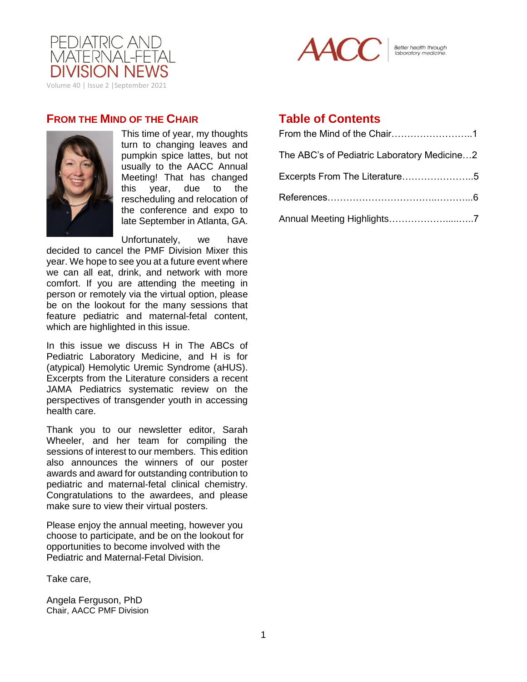



Better health through<br>laboratory medicine.

### **FROM THE MIND OF THE CHAIR**



This time of year, my thoughts turn to changing leaves and pumpkin spice lattes, but not usually to the AACC Annual Meeting! That has changed this year, due to the rescheduling and relocation of the conference and expo to late September in Atlanta, GA.

Unfortunately, we have decided to cancel the PMF Division Mixer this year. We hope to see you at a future event where we can all eat, drink, and network with more comfort. If you are attending the meeting in person or remotely via the virtual option, please be on the lookout for the many sessions that feature pediatric and maternal-fetal content, which are highlighted in this issue.

In this issue we discuss H in The ABCs of Pediatric Laboratory Medicine, and H is for (atypical) Hemolytic Uremic Syndrome (aHUS). Excerpts from the Literature considers a recent JAMA Pediatrics systematic review on the perspectives of transgender youth in accessing health care.

Thank you to our newsletter editor, Sarah Wheeler, and her team for compiling the sessions of interest to our members. This edition also announces the winners of our poster awards and award for outstanding contribution to pediatric and maternal-fetal clinical chemistry. Congratulations to the awardees, and please make sure to view their virtual posters.

Please enjoy the annual meeting, however you choose to participate, and be on the lookout for opportunities to become involved with the Pediatric and Maternal-Fetal Division.

Take care,

Angela Ferguson, PhD Chair, AACC PMF Division

# **Table of Contents**

| The ABC's of Pediatric Laboratory Medicine2 |
|---------------------------------------------|
| Excerpts From The Literature5               |
|                                             |
| Annual Meeting Highlights7                  |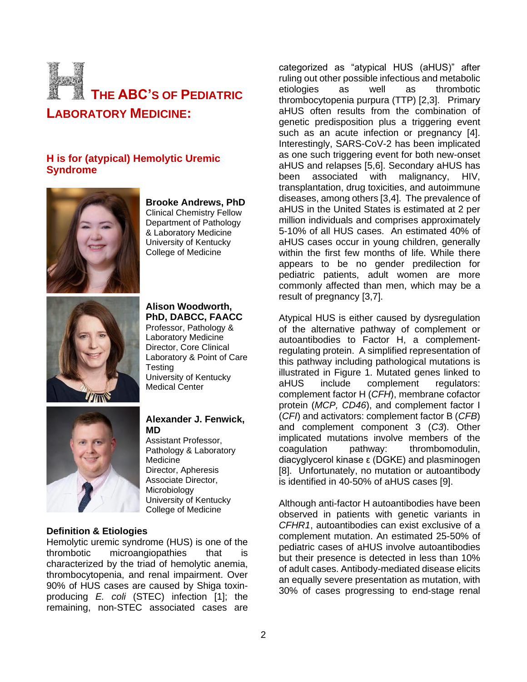

### **H is for (atypical) Hemolytic Uremic Syndrome**



**Brooke Andrews, PhD** Clinical Chemistry Fellow Department of Pathology & Laboratory Medicine University of Kentucky College of Medicine



### **Alison Woodworth, PhD, DABCC, FAACC**

Professor, Pathology & Laboratory Medicine Director, Core Clinical Laboratory & Point of Care **Testing** University of Kentucky Medical Center



#### **Alexander J. Fenwick, MD**

Assistant Professor, Pathology & Laboratory Medicine Director, Apheresis Associate Director, **Microbiology** University of Kentucky College of Medicine

### **Definition & Etiologies**

Hemolytic uremic syndrome (HUS) is one of the thrombotic microangiopathies that is characterized by the triad of hemolytic anemia, thrombocytopenia, and renal impairment. Over 90% of HUS cases are caused by Shiga toxinproducing *E. coli* (STEC) infection [1]; the remaining, non-STEC associated cases are

categorized as "atypical HUS (aHUS)" after ruling out other possible infectious and metabolic etiologies as well as thrombotic thrombocytopenia purpura (TTP) [2,3]. Primary aHUS often results from the combination of genetic predisposition plus a triggering event such as an acute infection or pregnancy [4]. Interestingly, SARS-CoV-2 has been implicated as one such triggering event for both new-onset aHUS and relapses [5,6]. Secondary aHUS has been associated with malignancy, HIV, transplantation, drug toxicities, and autoimmune diseases, among others [3,4]. The prevalence of aHUS in the United States is estimated at 2 per million individuals and comprises approximately 5-10% of all HUS cases. An estimated 40% of aHUS cases occur in young children, generally within the first few months of life. While there appears to be no gender predilection for pediatric patients, adult women are more commonly affected than men, which may be a result of pregnancy [3,7].

Atypical HUS is either caused by dysregulation of the alternative pathway of complement or autoantibodies to Factor H, a complementregulating protein. A simplified representation of this pathway including pathological mutations is illustrated in Figure 1. Mutated genes linked to aHUS include complement regulators: complement factor H (*CFH*), membrane cofactor protein (*MCP, CD46*), and complement factor I (*CFI*) and activators: complement factor B (*CFB*) and complement component 3 (*C3*). Other implicated mutations involve members of the coagulation pathway: thrombomodulin, diacyglycerol kinase ε (DGKE) and plasminogen [8]. Unfortunately, no mutation or autoantibody is identified in 40-50% of aHUS cases [9].

Although anti-factor H autoantibodies have been observed in patients with genetic variants in *CFHR1*, autoantibodies can exist exclusive of a complement mutation. An estimated 25-50% of pediatric cases of aHUS involve autoantibodies but their presence is detected in less than 10% of adult cases. Antibody-mediated disease elicits an equally severe presentation as mutation, with 30% of cases progressing to end-stage renal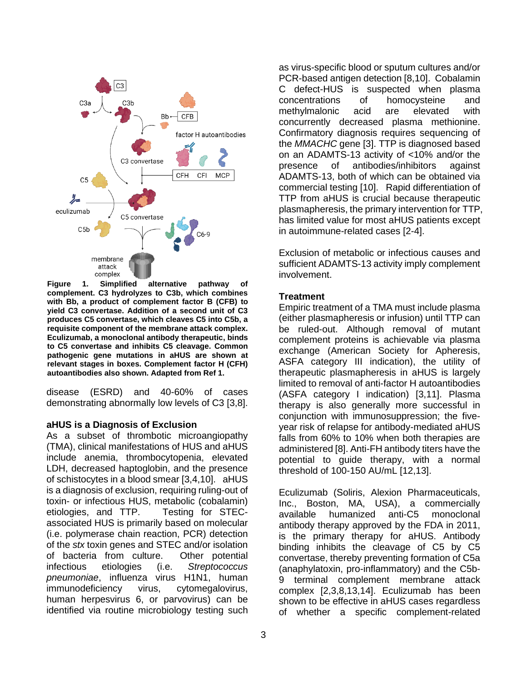

**Figure 1. Simplified alternative pathway of complement. C3 hydrolyzes to C3b, which combines with Bb, a product of complement factor B (CFB) to yield C3 convertase. Addition of a second unit of C3 produces C5 convertase, which cleaves C5 into C5b, a requisite component of the membrane attack complex. Eculizumab, a monoclonal antibody therapeutic, binds to C5 convertase and inhibits C5 cleavage. Common pathogenic gene mutations in aHUS are shown at relevant stages in boxes. Complement factor H (CFH) autoantibodies also shown. Adapted from Ref 1.**

disease (ESRD) and 40-60% of cases demonstrating abnormally low levels of C3 [3,8].

#### **aHUS is a Diagnosis of Exclusion**

As a subset of thrombotic microangiopathy (TMA), clinical manifestations of HUS and aHUS include anemia, thrombocytopenia, elevated LDH, decreased haptoglobin, and the presence of schistocytes in a blood smear [3,4,10]. aHUS is a diagnosis of exclusion, requiring ruling-out of toxin- or infectious HUS, metabolic (cobalamin) etiologies, and TTP. Testing for STECassociated HUS is primarily based on molecular (i.e. polymerase chain reaction, PCR) detection of the *stx* toxin genes and STEC and/or isolation of bacteria from culture. Other potential infectious etiologies (i.e. *Streptococcus pneumoniae*, influenza virus H1N1, human immunodeficiency virus, cytomegalovirus, human herpesvirus 6, or parvovirus) can be identified via routine microbiology testing such

as virus-specific blood or sputum cultures and/or PCR-based antigen detection [8,10]. Cobalamin C defect-HUS is suspected when plasma concentrations of homocysteine and methylmalonic acid are elevated with concurrently decreased plasma methionine. Confirmatory diagnosis requires sequencing of the *MMACHC* gene [3]. TTP is diagnosed based on an ADAMTS-13 activity of <10% and/or the presence of antibodies/inhibitors against ADAMTS-13, both of which can be obtained via commercial testing [10]. Rapid differentiation of TTP from aHUS is crucial because therapeutic plasmapheresis, the primary intervention for TTP, has limited value for most aHUS patients except in autoimmune-related cases [2-4].

Exclusion of metabolic or infectious causes and sufficient ADAMTS-13 activity imply complement involvement.

#### **Treatment**

Empiric treatment of a TMA must include plasma (either plasmapheresis or infusion) until TTP can be ruled-out. Although removal of mutant complement proteins is achievable via plasma exchange (American Society for Apheresis, ASFA category III indication), the utility of therapeutic plasmapheresis in aHUS is largely limited to removal of anti-factor H autoantibodies (ASFA category I indication) [3,11]. Plasma therapy is also generally more successful in conjunction with immunosuppression; the fiveyear risk of relapse for antibody-mediated aHUS falls from 60% to 10% when both therapies are administered [8]. Anti-FH antibody titers have the potential to guide therapy, with a normal threshold of 100-150 AU/mL [12,13].

Eculizumab (Soliris, Alexion Pharmaceuticals, Inc., Boston, MA, USA), a commercially available humanized anti-C5 monoclonal antibody therapy approved by the FDA in 2011, is the primary therapy for aHUS. Antibody binding inhibits the cleavage of C5 by C5 convertase, thereby preventing formation of C5a (anaphylatoxin, pro-inflammatory) and the C5b-9 terminal complement membrane attack complex [2,3,8,13,14]. Eculizumab has been shown to be effective in aHUS cases regardless of whether a specific complement-related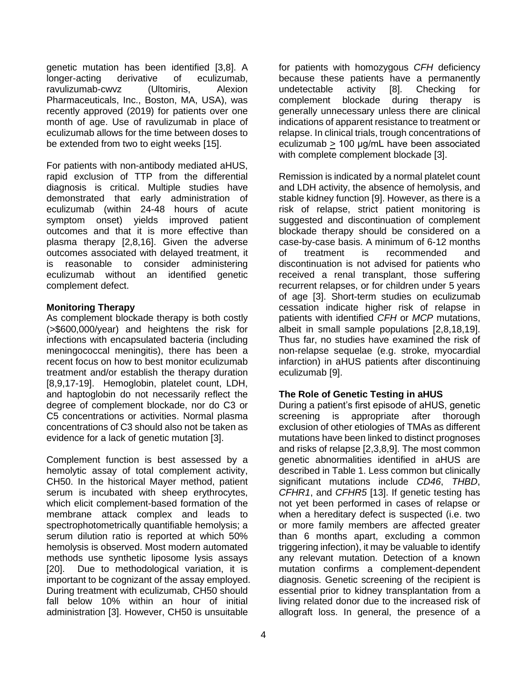genetic mutation has been identified [3,8]. A longer-acting derivative of eculizumab, ravulizumab-cwvz (Ultomiris, Alexion Pharmaceuticals, Inc., Boston, MA, USA), was recently approved (2019) for patients over one month of age. Use of ravulizumab in place of eculizumab allows for the time between doses to be extended from two to eight weeks [15].

For patients with non-antibody mediated aHUS, rapid exclusion of TTP from the differential diagnosis is critical. Multiple studies have demonstrated that early administration of eculizumab (within 24-48 hours of acute symptom onset) yields improved patient outcomes and that it is more effective than plasma therapy [2,8,16]. Given the adverse outcomes associated with delayed treatment, it is reasonable to consider administering eculizumab without an identified genetic complement defect.

### **Monitoring Therapy**

As complement blockade therapy is both costly (>\$600,000/year) and heightens the risk for infections with encapsulated bacteria (including meningococcal meningitis), there has been a recent focus on how to best monitor eculizumab treatment and/or establish the therapy duration [8,9,17-19]. Hemoglobin, platelet count, LDH, and haptoglobin do not necessarily reflect the degree of complement blockade, nor do C3 or C5 concentrations or activities. Normal plasma concentrations of C3 should also not be taken as evidence for a lack of genetic mutation [3].

Complement function is best assessed by a hemolytic assay of total complement activity, CH50. In the historical Mayer method, patient serum is incubated with sheep erythrocytes, which elicit complement-based formation of the membrane attack complex and leads to spectrophotometrically quantifiable hemolysis; a serum dilution ratio is reported at which 50% hemolysis is observed. Most modern automated methods use synthetic liposome lysis assays [20]. Due to methodological variation, it is important to be cognizant of the assay employed. During treatment with eculizumab, CH50 should fall below 10% within an hour of initial administration [3]. However, CH50 is unsuitable

for patients with homozygous *CFH* deficiency because these patients have a permanently undetectable activity [8]. Checking for complement blockade during therapy is generally unnecessary unless there are clinical indications of apparent resistance to treatment or relapse. In clinical trials, trough concentrations of eculizumab > 100 μg/mL have been associated with complete complement blockade [3].

Remission is indicated by a normal platelet count and LDH activity, the absence of hemolysis, and stable kidney function [9]. However, as there is a risk of relapse, strict patient monitoring is suggested and discontinuation of complement blockade therapy should be considered on a case-by-case basis. A minimum of 6-12 months of treatment is recommended and discontinuation is not advised for patients who received a renal transplant, those suffering recurrent relapses, or for children under 5 years of age [3]. Short-term studies on eculizumab cessation indicate higher risk of relapse in patients with identified *CFH* or *MCP* mutations, albeit in small sample populations [2,8,18,19]. Thus far, no studies have examined the risk of non-relapse sequelae (e.g. stroke, myocardial infarction) in aHUS patients after discontinuing eculizumab [9].

### **The Role of Genetic Testing in aHUS**

During a patient's first episode of aHUS, genetic screening is appropriate after thorough exclusion of other etiologies of TMAs as different mutations have been linked to distinct prognoses and risks of relapse [2,3,8,9]. The most common genetic abnormalities identified in aHUS are described in Table 1. Less common but clinically significant mutations include *CD46*, *THBD*, *CFHR1*, and *CFHR5* [13]. If genetic testing has not yet been performed in cases of relapse or when a hereditary defect is suspected (i.e. two or more family members are affected greater than 6 months apart, excluding a common triggering infection), it may be valuable to identify any relevant mutation. Detection of a known mutation confirms a complement-dependent diagnosis. Genetic screening of the recipient is essential prior to kidney transplantation from a living related donor due to the increased risk of allograft loss. In general, the presence of a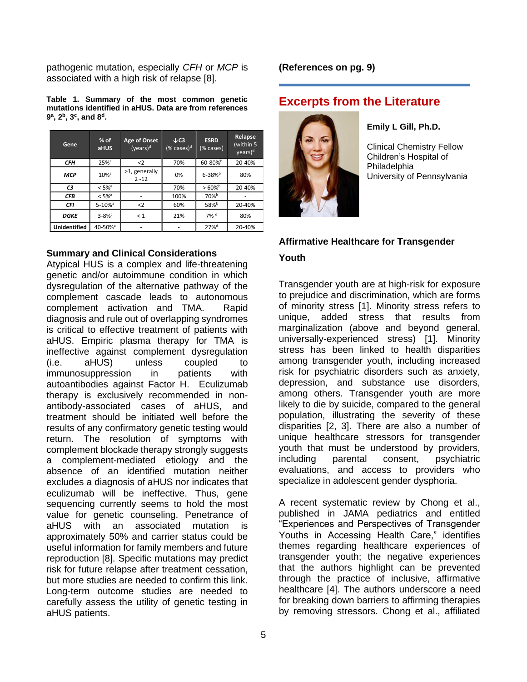pathogenic mutation, especially *CFH* or *MCP* is associated with a high risk of relapse [8].

**Table 1. Summary of the most common genetic mutations identified in aHUS. Data are from references 9 a , 2<sup>b</sup> , 3<sup>c</sup> , and 8<sup>d</sup> .**

| Gene                | $%$ of<br>aHUS         | Age of Onset<br>$(years)^d$  | $\downarrow$ C3<br>(% cases) <sup>d</sup> | <b>ESRD</b><br>(% cases) | Relapse<br>(within 5<br>years) <sup>d</sup> |
|---------------------|------------------------|------------------------------|-------------------------------------------|--------------------------|---------------------------------------------|
| CFН                 | $25%$ <sup>a</sup>     | $2$                          | 70%                                       | 60-80%b                  | 20-40%                                      |
| <b>MCP</b>          | $10%$ <sup>a</sup>     | $>1$ , generally<br>$2 - 12$ | 0%                                        | $6 - 38%$                | 80%                                         |
| C <sub>3</sub>      | $< 5\%$ <sup>a</sup>   |                              | 70%                                       | $>60\%$ <sup>b</sup>     | 20-40%                                      |
| <b>CFB</b>          | $< 5\%$ <sup>a</sup>   | ۰                            | 100%                                      | 70% <sup>b</sup>         |                                             |
| <b>CFI</b>          | $5 - 10%$ <sup>a</sup> | $2$                          | 60%                                       | $58%^{b}$                | 20-40%                                      |
| <b>DGKE</b>         | $3 - 8%$               | < 1                          | 21%                                       | $7\%$ <sup>d</sup>       | 80%                                         |
| <b>Unidentified</b> | 40-50% <sup>a</sup>    |                              |                                           | $27%^{d}$                | 20-40%                                      |

#### **Summary and Clinical Considerations**

Atypical HUS is a complex and life-threatening genetic and/or autoimmune condition in which dysregulation of the alternative pathway of the complement cascade leads to autonomous complement activation and TMA. Rapid diagnosis and rule out of overlapping syndromes is critical to effective treatment of patients with aHUS. Empiric plasma therapy for TMA is ineffective against complement dysregulation (i.e. aHUS) unless coupled to immunosuppression in patients with autoantibodies against Factor H. Eculizumab therapy is exclusively recommended in nonantibody-associated cases of aHUS, and treatment should be initiated well before the results of any confirmatory genetic testing would return. The resolution of symptoms with complement blockade therapy strongly suggests a complement-mediated etiology and the absence of an identified mutation neither excludes a diagnosis of aHUS nor indicates that eculizumab will be ineffective. Thus, gene sequencing currently seems to hold the most value for genetic counseling. Penetrance of aHUS with an associated mutation is approximately 50% and carrier status could be useful information for family members and future reproduction [8]. Specific mutations may predict risk for future relapse after treatment cessation, but more studies are needed to confirm this link. Long-term outcome studies are needed to carefully assess the utility of genetic testing in aHUS patients.

#### **(References on pg. 9)**

# **Excerpts from the Literature**



**Emily L Gill, Ph.D.**

Clinical Chemistry Fellow Children's Hospital of Philadelphia University of Pennsylvania

# **Affirmative Healthcare for Transgender Youth**

Transgender youth are at high-risk for exposure to prejudice and discrimination, which are forms of minority stress [1]. Minority stress refers to unique, added stress that results from marginalization (above and beyond general, universally-experienced stress) [1]. Minority stress has been linked to health disparities among transgender youth, including increased risk for psychiatric disorders such as anxiety, depression, and substance use disorders, among others. Transgender youth are more likely to die by suicide, compared to the general population, illustrating the severity of these disparities [2, 3]. There are also a number of unique healthcare stressors for transgender youth that must be understood by providers, including parental consent, psychiatric evaluations, and access to providers who specialize in adolescent gender dysphoria.

A recent systematic review by Chong et al., published in JAMA pediatrics and entitled "Experiences and Perspectives of Transgender Youths in Accessing Health Care," identifies themes regarding healthcare experiences of transgender youth; the negative experiences that the authors highlight can be prevented through the practice of inclusive, affirmative healthcare [4]. The authors underscore a need for breaking down barriers to affirming therapies by removing stressors. Chong et al., affiliated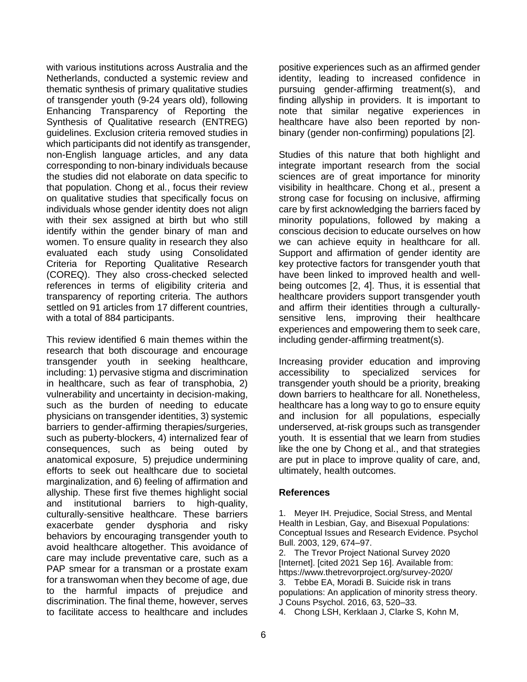with various institutions across Australia and the Netherlands, conducted a systemic review and thematic synthesis of primary qualitative studies of transgender youth (9-24 years old), following Enhancing Transparency of Reporting the Synthesis of Qualitative research (ENTREG) guidelines. Exclusion criteria removed studies in which participants did not identify as transgender, non-English language articles, and any data corresponding to non-binary individuals because the studies did not elaborate on data specific to that population. Chong et al., focus their review on qualitative studies that specifically focus on individuals whose gender identity does not align with their sex assigned at birth but who still identify within the gender binary of man and women. To ensure quality in research they also evaluated each study using Consolidated Criteria for Reporting Qualitative Research (COREQ). They also cross-checked selected references in terms of eligibility criteria and transparency of reporting criteria. The authors settled on 91 articles from 17 different countries, with a total of 884 participants.

This review identified 6 main themes within the research that both discourage and encourage transgender youth in seeking healthcare, including: 1) pervasive stigma and discrimination in healthcare, such as fear of transphobia, 2) vulnerability and uncertainty in decision-making, such as the burden of needing to educate physicians on transgender identities, 3) systemic barriers to gender-affirming therapies/surgeries, such as puberty-blockers, 4) internalized fear of consequences, such as being outed by anatomical exposure, 5) prejudice undermining efforts to seek out healthcare due to societal marginalization, and 6) feeling of affirmation and allyship. These first five themes highlight social and institutional barriers to high-quality, culturally-sensitive healthcare. These barriers exacerbate gender dysphoria and risky behaviors by encouraging transgender youth to avoid healthcare altogether. This avoidance of care may include preventative care, such as a PAP smear for a transman or a prostate exam for a transwoman when they become of age, due to the harmful impacts of prejudice and discrimination. The final theme, however, serves to facilitate access to healthcare and includes

positive experiences such as an affirmed gender identity, leading to increased confidence in pursuing gender-affirming treatment(s), and finding allyship in providers. It is important to note that similar negative experiences in healthcare have also been reported by nonbinary (gender non-confirming) populations [2].

Studies of this nature that both highlight and integrate important research from the social sciences are of great importance for minority visibility in healthcare. Chong et al., present a strong case for focusing on inclusive, affirming care by first acknowledging the barriers faced by minority populations, followed by making a conscious decision to educate ourselves on how we can achieve equity in healthcare for all. Support and affirmation of gender identity are key protective factors for transgender youth that have been linked to improved health and wellbeing outcomes [2, 4]. Thus, it is essential that healthcare providers support transgender youth and affirm their identities through a culturallysensitive lens, improving their healthcare experiences and empowering them to seek care, including gender-affirming treatment(s).

Increasing provider education and improving accessibility to specialized services for transgender youth should be a priority, breaking down barriers to healthcare for all. Nonetheless, healthcare has a long way to go to ensure equity and inclusion for all populations, especially underserved, at-risk groups such as transgender youth. It is essential that we learn from studies like the one by Chong et al., and that strategies are put in place to improve quality of care, and, ultimately, health outcomes.

### **References**

1. Meyer IH. Prejudice, Social Stress, and Mental Health in Lesbian, Gay, and Bisexual Populations: Conceptual Issues and Research Evidence. Psychol Bull. 2003, 129, 674–97.

2. The Trevor Project National Survey 2020 [Internet]. [cited 2021 Sep 16]. Available from: https://www.thetrevorproject.org/survey-2020/

3. Tebbe EA, Moradi B. Suicide risk in trans populations: An application of minority stress theory. J Couns Psychol. 2016, 63, 520–33.

4. Chong LSH, Kerklaan J, Clarke S, Kohn M,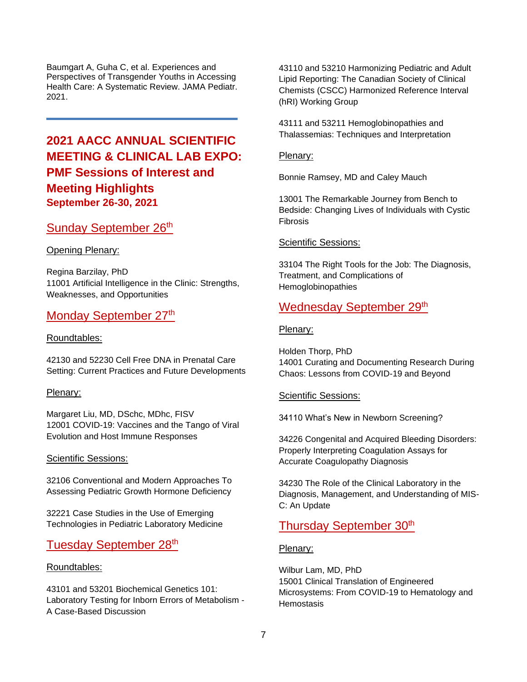Baumgart A, Guha C, et al. Experiences and Perspectives of Transgender Youths in Accessing Health Care: A Systematic Review. JAMA Pediatr. 2021.

# **2021 AACC ANNUAL SCIENTIFIC MEETING & CLINICAL LAB EXPO: PMF Sessions of Interest and Meeting Highlights September 26-30, 2021**

# Sunday September 26<sup>th</sup>

**Opening Plenary:** 

Regina Barzilay, PhD 11001 Artificial Intelligence in the Clinic: Strengths, Weaknesses, and Opportunities

### Monday September 27th

#### Roundtables:

42130 and 52230 Cell Free DNA in Prenatal Care Setting: Current Practices and Future Developments

#### Plenary:

Margaret Liu, MD, DSchc, MDhc, FISV 12001 COVID-19: Vaccines and the Tango of Viral Evolution and Host Immune Responses

#### Scientific Sessions:

32106 Conventional and Modern Approaches To Assessing Pediatric Growth Hormone Deficiency

32221 Case Studies in the Use of Emerging Technologies in Pediatric Laboratory Medicine

# Tuesday September 28<sup>th</sup>

#### Roundtables:

43101 and 53201 Biochemical Genetics 101: Laboratory Testing for Inborn Errors of Metabolism - A Case-Based Discussion

43110 and 53210 Harmonizing Pediatric and Adult Lipid Reporting: The Canadian Society of Clinical Chemists (CSCC) Harmonized Reference Interval (hRI) Working Group

43111 and 53211 Hemoglobinopathies and Thalassemias: Techniques and Interpretation

#### Plenary:

Bonnie Ramsey, MD and Caley Mauch

13001 The Remarkable Journey from Bench to Bedside: Changing Lives of Individuals with Cystic Fibrosis

#### Scientific Sessions:

33104 The Right Tools for the Job: The Diagnosis, Treatment, and Complications of Hemoglobinopathies

# Wednesday September 29th

#### Plenary:

Holden Thorp, PhD 14001 Curating and Documenting Research During Chaos: Lessons from COVID-19 and Beyond

#### Scientific Sessions:

34110 What's New in Newborn Screening?

34226 Congenital and Acquired Bleeding Disorders: Properly Interpreting Coagulation Assays for Accurate Coagulopathy Diagnosis

34230 The Role of the Clinical Laboratory in the Diagnosis, Management, and Understanding of MIS-C: An Update

# Thursday September 30<sup>th</sup>

#### Plenary:

Wilbur Lam, MD, PhD 15001 Clinical Translation of Engineered Microsystems: From COVID-19 to Hematology and **Hemostasis**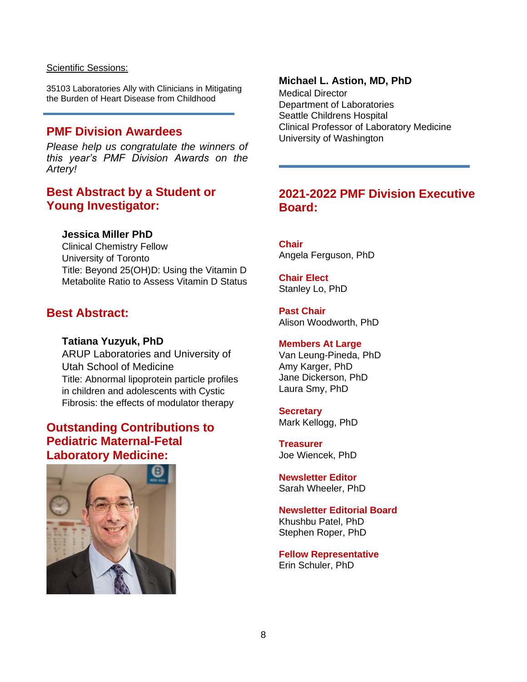#### Scientific Sessions:

35103 Laboratories Ally with Clinicians in Mitigating the Burden of Heart Disease from Childhood

### **PMF Division Awardees**

*Please help us congratulate the winners of this year's PMF Division Awards on the Artery!* 

### **Best Abstract by a Student or Young Investigator:**

### **Jessica Miller PhD**

Clinical Chemistry Fellow University of Toronto Title: Beyond 25(OH)D: Using the Vitamin D Metabolite Ratio to Assess Vitamin D Status

# **Best Abstract:**

#### **Tatiana Yuzyuk, PhD**

ARUP Laboratories and University of Utah School of Medicine Title: Abnormal lipoprotein particle profiles in children and adolescents with Cystic Fibrosis: the effects of modulator therapy

# **Outstanding Contributions to Pediatric Maternal-Fetal Laboratory Medicine:**



#### **Michael L. Astion, MD, PhD**

Medical Director Department of Laboratories Seattle Childrens Hospital Clinical Professor of Laboratory Medicine University of Washington

# **2021-2022 PMF Division Executive Board:**

**Chair** Angela Ferguson, PhD

**Chair Elect** Stanley Lo, PhD

**Past Chair** Alison Woodworth, PhD

#### **Members At Large**

Van Leung-Pineda, PhD Amy Karger, PhD Jane Dickerson, PhD Laura Smy, PhD

### **Secretary**

Mark Kellogg, PhD

**Treasurer** Joe Wiencek, PhD

**Newsletter Editor** Sarah Wheeler, PhD

# **Newsletter Editorial Board**

Khushbu Patel, PhD Stephen Roper, PhD

**Fellow Representative** Erin Schuler, PhD